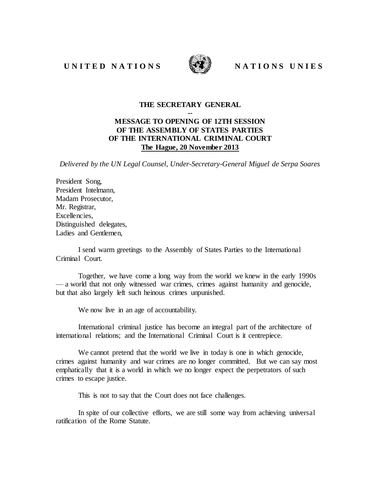## UNITED NATIONS WE NATIONS UNIES



## **THE SECRETARY GENERAL**

## **--**

## **MESSAGE TO OPENING OF 12TH SESSION OF THE ASSEMBLY OF STATES PARTIES OF THE INTERNATIONAL CRIMINAL COURT The Hague, 20 November 2013**

*Delivered by the UN Legal Counsel, Under-Secretary-General Miguel de Serpa Soares*

President Song, President Intelmann, Madam Prosecutor, Mr. Registrar, Excellencies, Distinguished delegates, Ladies and Gentlemen

I send warm greetings to the Assembly of States Parties to the International Criminal Court.

Together, we have come a long way from the world we knew in the early 1990s — a world that not only witnessed war crimes, crimes against humanity and genocide, but that also largely left such heinous crimes unpunished.

We now live in an age of accountability.

International criminal justice has become an integral part of the architecture of international relations; and the International Criminal Court is it centrepiece.

We cannot pretend that the world we live in today is one in which genocide, crimes against humanity and war crimes are no longer committed. But we can say most emphatically that it is a world in which we no longer expect the perpetrators of such crimes to escape justice.

This is not to say that the Court does not face challenges.

In spite of our collective efforts, we are still some way from achieving universal ratification of the Rome Statute.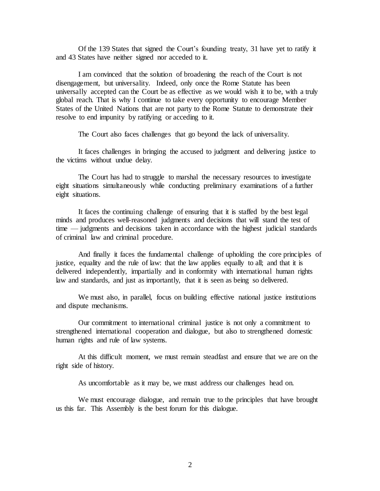Of the 139 States that signed the Court's founding treaty, 31 have yet to ratify it and 43 States have neither signed nor acceded to it.

I am convinced that the solution of broadening the reach of the Court is not disengagement, but universality. Indeed, only once the Rome Statute has been universally accepted can the Court be as effective as we would wish it to be, with a truly global reach. That is why I continue to take every opportunity to encourage Member States of the United Nations that are not party to the Rome Statute to demonstrate their resolve to end impunity by ratifying or acceding to it.

The Court also faces challenges that go beyond the lack of universality.

It faces challenges in bringing the accused to judgment and delivering justice to the victims without undue delay.

The Court has had to struggle to marshal the necessary resources to investigate eight situations simultaneously while conducting preliminary examinations of a further eight situations.

It faces the continuing challenge of ensuring that it is staffed by the best legal minds and produces well-reasoned judgments and decisions that will stand the test of time — judgments and decisions taken in accordance with the highest judicial standards of criminal law and criminal procedure.

And finally it faces the fundamental challenge of upholding the core principles of justice, equality and the rule of law: that the law applies equally to all; and that it is delivered independently, impartially and in conformity with international human rights law and standards, and just as importantly, that it is seen as being so delivered.

We must also, in parallel, focus on building effective national justice institutions and dispute mechanisms.

Our commitment to international criminal justice is not only a commitment to strengthened international cooperation and dialogue, but also to strengthened domestic human rights and rule of law systems.

At this difficult moment, we must remain steadfast and ensure that we are on the right side of history.

As uncomfortable as it may be, we must address our challenges head on.

We must encourage dialogue, and remain true to the principles that have brought us this far. This Assembly is the best forum for this dialogue.